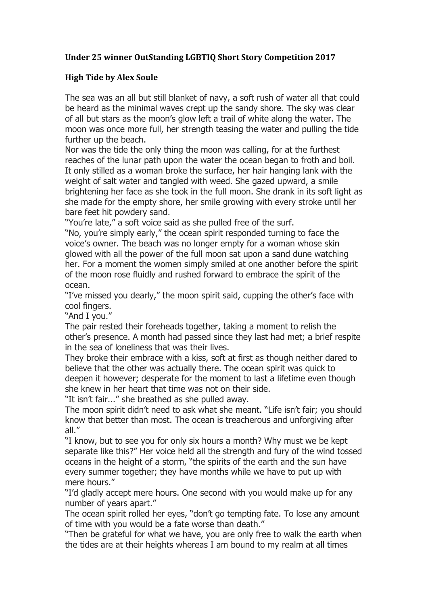## **Under 25 winner OutStanding LGBTIQ Short Story Competition 2017**

## **High Tide by Alex Soule**

The sea was an all but still blanket of navy, a soft rush of water all that could be heard as the minimal waves crept up the sandy shore. The sky was clear of all but stars as the moon's glow left a trail of white along the water. The moon was once more full, her strength teasing the water and pulling the tide further up the beach.

Nor was the tide the only thing the moon was calling, for at the furthest reaches of the lunar path upon the water the ocean began to froth and boil. It only stilled as a woman broke the surface, her hair hanging lank with the weight of salt water and tangled with weed. She gazed upward, a smile brightening her face as she took in the full moon. She drank in its soft light as she made for the empty shore, her smile growing with every stroke until her bare feet hit powdery sand.

"You're late," a soft voice said as she pulled free of the surf.

"No, you're simply early," the ocean spirit responded turning to face the voice's owner. The beach was no longer empty for a woman whose skin glowed with all the power of the full moon sat upon a sand dune watching her. For a moment the women simply smiled at one another before the spirit of the moon rose fluidly and rushed forward to embrace the spirit of the ocean.

"I've missed you dearly," the moon spirit said, cupping the other's face with cool fingers.

"And I you."

The pair rested their foreheads together, taking a moment to relish the other's presence. A month had passed since they last had met; a brief respite in the sea of loneliness that was their lives.

They broke their embrace with a kiss, soft at first as though neither dared to believe that the other was actually there. The ocean spirit was quick to deepen it however; desperate for the moment to last a lifetime even though she knew in her heart that time was not on their side.

"It isn't fair..." she breathed as she pulled away.

The moon spirit didn't need to ask what she meant. "Life isn't fair; you should know that better than most. The ocean is treacherous and unforgiving after all."

"I know, but to see you for only six hours a month? Why must we be kept separate like this?" Her voice held all the strength and fury of the wind tossed oceans in the height of a storm, "the spirits of the earth and the sun have every summer together; they have months while we have to put up with mere hours."

"I'd gladly accept mere hours. One second with you would make up for any number of years apart."

The ocean spirit rolled her eyes, "don't go tempting fate. To lose any amount of time with you would be a fate worse than death."

"Then be grateful for what we have, you are only free to walk the earth when the tides are at their heights whereas I am bound to my realm at all times